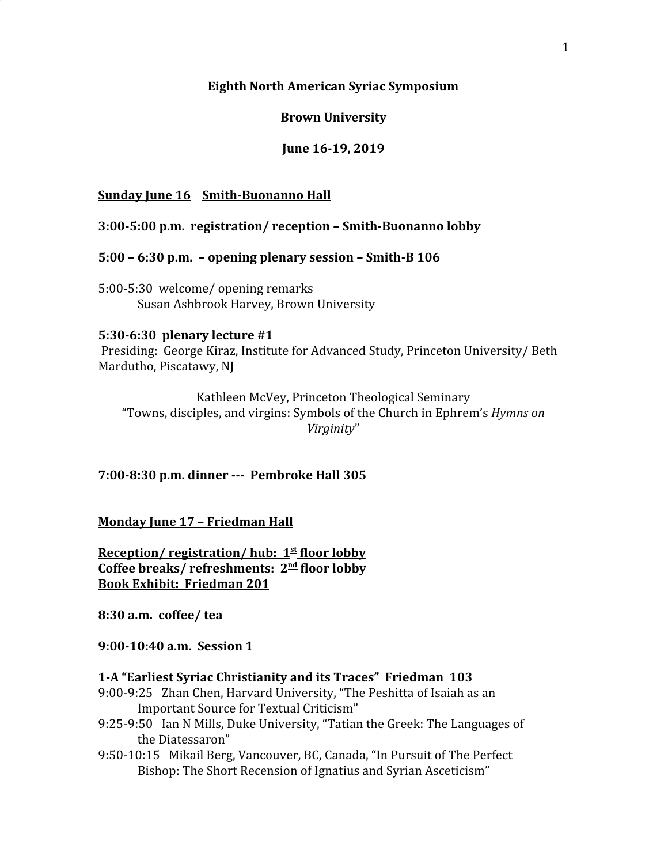#### **Eighth North American Syriac Symposium**

### **Brown University**

### **June 16-19, 2019**

#### **Sunday June 16 Smith-Buonanno Hall**

#### **3:00-5:00 p.m. registration/ reception – Smith-Buonanno lobby**

**5:00 – 6:30 p.m. – opening plenary session – Smith-B 106**

5:00-5:30 welcome/ opening remarks Susan Ashbrook Harvey, Brown University

#### **5:30-6:30 plenary lecture #1**

 Presiding: George Kiraz, Institute for Advanced Study, Princeton University/ Beth Mardutho, Piscatawy, NJ

Kathleen McVey, Princeton Theological Seminary "Towns, disciples, and virgins: Symbols of the Church in Ephrem's *Hymns on Virginity*"

**7:00-8:30 p.m. dinner --- Pembroke Hall 305**

#### **Monday June 17 – Friedman Hall**

**Reception/ registration/ hub: 1st floor lobby Coffee breaks/ refreshments: 2nd floor lobby Book Exhibit: Friedman 201**

**8:30 a.m. coffee/ tea**

**9:00-10:40 a.m. Session 1**

#### **1-A "Earliest Syriac Christianity and its Traces" Friedman 103**

- 9:00-9:25 Zhan Chen, Harvard University, "The Peshitta of Isaiah as an Important Source for Textual Criticism"
- 9:25-9:50 Ian N Mills, Duke University, "Tatian the Greek: The Languages of the Diatessaron"
- 9:50-10:15 Mikail Berg, Vancouver, BC, Canada, "In Pursuit of The Perfect Bishop: The Short Recension of Ignatius and Syrian Asceticism"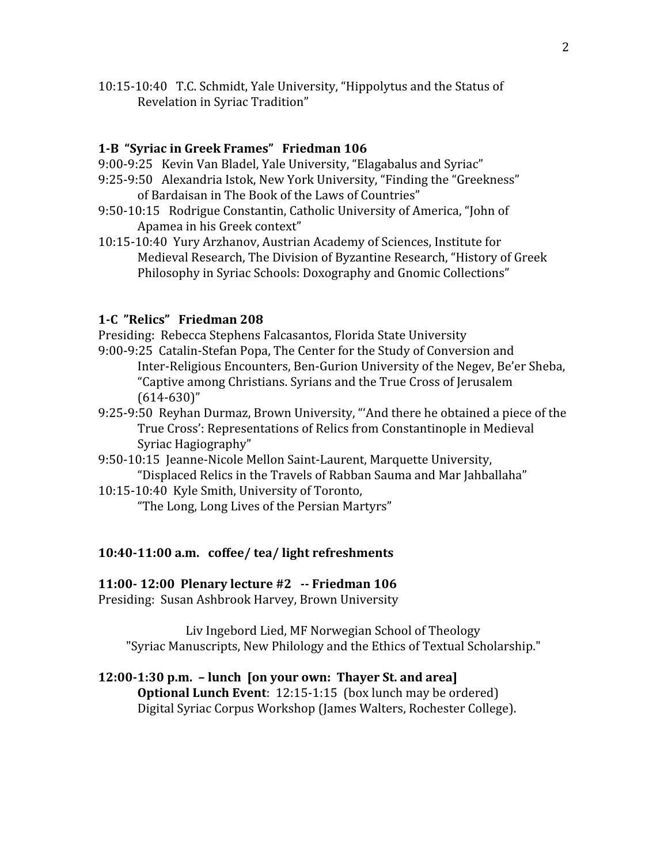10:15-10:40 T.C. Schmidt, Yale University, "Hippolytus and the Status of Revelation in Syriac Tradition"

#### **1-B "Syriac in Greek Frames" Friedman 106**

- 9:00-9:25 Kevin Van Bladel, Yale University, "Elagabalus and Syriac"
- 9:25-9:50 Alexandria Istok, New York University, "Finding the "Greekness" of Bardaisan in The Book of the Laws of Countries"
- 9:50-10:15 Rodrigue Constantin, Catholic University of America, "John of Apamea in his Greek context"
- 10:15-10:40 Yury Arzhanov, Austrian Academy of Sciences, Institute for Medieval Research, The Division of Byzantine Research, "History of Greek Philosophy in Syriac Schools: Doxography and Gnomic Collections"

### **1-C "Relics" Friedman 208**

Presiding: Rebecca Stephens Falcasantos, Florida State University

- 9:00-9:25 Catalin-Stefan Popa, The Center for the Study of Conversion and Inter-Religious Encounters, Ben-Gurion University of the Negev, Be'er Sheba, "Captive among Christians. Syrians and the True Cross of Jerusalem  $(614-630)$ "
- 9:25-9:50 Reyhan Durmaz, Brown University, "'And there he obtained a piece of the True Cross': Representations of Relics from Constantinople in Medieval Syriac Hagiography"
- 9:50-10:15 Jeanne-Nicole Mellon Saint-Laurent, Marquette University, "Displaced Relics in the Travels of Rabban Sauma and Mar Jahballaha"
- 10:15-10:40 Kyle Smith, University of Toronto,

"The Long, Long Lives of the Persian Martyrs"

### **10:40-11:00 a.m. coffee/ tea/ light refreshments**

#### **11:00- 12:00 Plenary lecture #2 -- Friedman 106**

Presiding: Susan Ashbrook Harvey, Brown University

Liv Ingebord Lied, MF Norwegian School of Theology "Syriac Manuscripts, New Philology and the Ethics of Textual Scholarship."

#### **12:00-1:30 p.m. – lunch [on your own: Thayer St. and area]**

**Optional Lunch Event**: 12:15-1:15 (box lunch may be ordered) Digital Syriac Corpus Workshop (James Walters, Rochester College).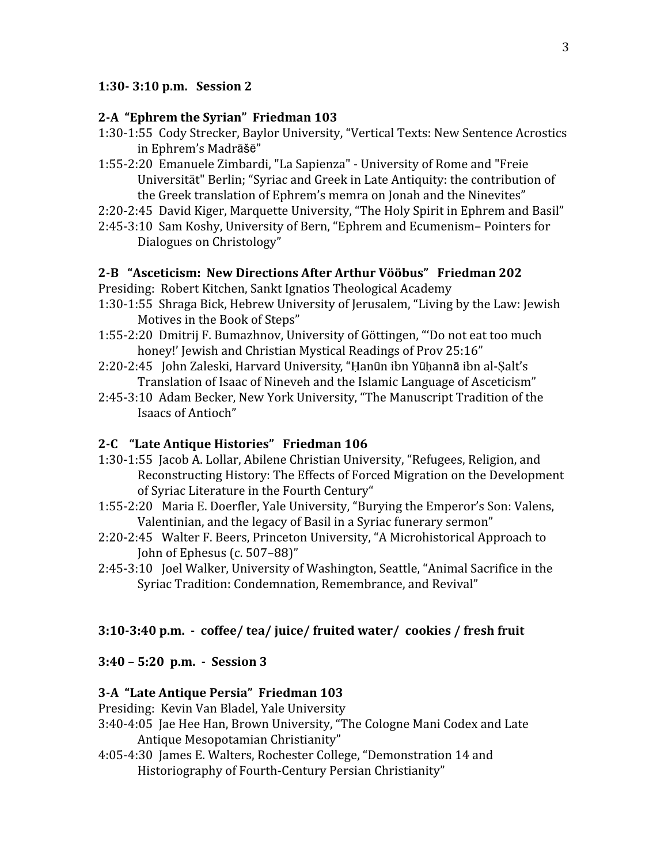### **1:30- 3:10 p.m. Session 2**

#### **2-A "Ephrem the Syrian" Friedman 103**

- 1:30-1:55 Cody Strecker, Baylor University, "Vertical Texts: New Sentence Acrostics in Ephrem's Madrāšē"
- 1:55-2:20 Emanuele Zimbardi, "La Sapienza" University of Rome and "Freie Universität" Berlin; "Syriac and Greek in Late Antiquity: the contribution of the Greek translation of Ephrem's memra on Jonah and the Ninevites"
- 2:20-2:45 David Kiger, Marquette University, "The Holy Spirit in Ephrem and Basil"
- 2:45-3:10 Sam Koshy, University of Bern, "Ephrem and Ecumenism– Pointers for Dialogues on Christology"

#### **2-B "Asceticism: New Directions After Arthur Vööbus" Friedman 202**

Presiding: Robert Kitchen, Sankt Ignatios Theological Academy

- 1:30-1:55 Shraga Bick, Hebrew University of Jerusalem, "Living by the Law: Jewish Motives in the Book of Steps"
- 1:55-2:20 Dmitrij F. Bumazhnov, University of Göttingen, "'Do not eat too much honey!' Jewish and Christian Mystical Readings of Prov 25:16"
- 2:20-2:45 John Zaleski, Harvard University, "Ḥanūn ibn Yūḥannā ibn al-Ṣalt's Translation of Isaac of Nineveh and the Islamic Language of Asceticism"
- 2:45-3:10 Adam Becker, New York University, "The Manuscript Tradition of the Isaacs of Antioch"

### **2-C "Late Antique Histories" Friedman 106**

- 1:30-1:55 Jacob A. Lollar, Abilene Christian University, "Refugees, Religion, and Reconstructing History: The Effects of Forced Migration on the Development of Syriac Literature in the Fourth Century"
- 1:55-2:20 Maria E. Doerfler, Yale University, "Burying the Emperor's Son: Valens, Valentinian, and the legacy of Basil in a Syriac funerary sermon"
- 2:20-2:45 Walter F. Beers, Princeton University, "A Microhistorical Approach to John of Ephesus (c. 507-88)"
- 2:45-3:10 Joel Walker, University of Washington, Seattle, "Animal Sacrifice in the Syriac Tradition: Condemnation, Remembrance, and Revival"

### **3:10-3:40 p.m. - coffee/ tea/ juice/ fruited water/ cookies / fresh fruit**

#### **3:40 – 5:20 p.m. - Session 3**

#### **3-A "Late Antique Persia" Friedman 103**

Presiding: Kevin Van Bladel, Yale University

- 3:40-4:05 Jae Hee Han, Brown University, "The Cologne Mani Codex and Late Antique Mesopotamian Christianity"
- 4:05-4:30 James E. Walters, Rochester College, "Demonstration 14 and Historiography of Fourth-Century Persian Christianity"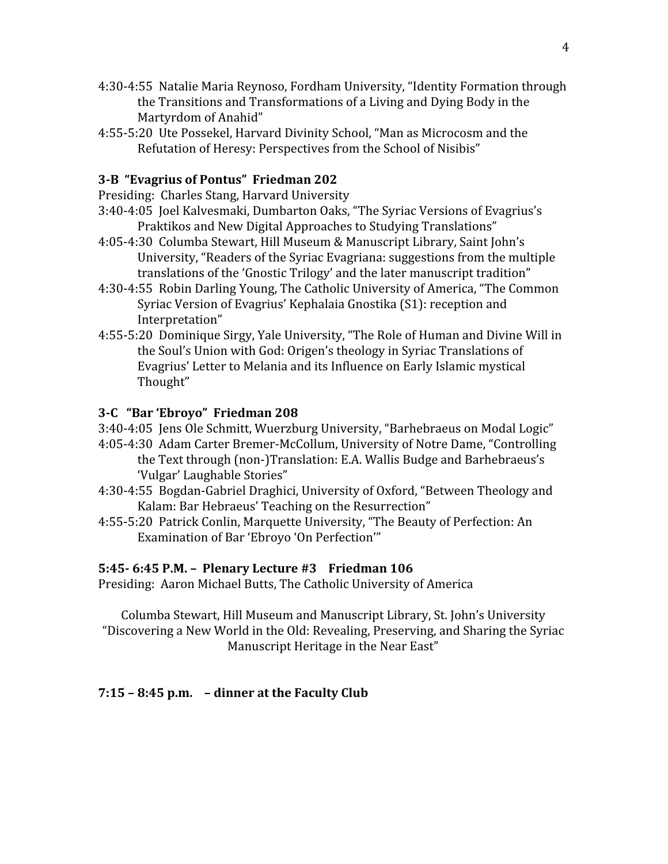- 4:30-4:55 Natalie Maria Reynoso, Fordham University, "Identity Formation through the Transitions and Transformations of a Living and Dying Body in the Martyrdom of Anahid"
- 4:55-5:20 Ute Possekel, Harvard Divinity School, "Man as Microcosm and the Refutation of Heresy: Perspectives from the School of Nisibis"

# **3-B "Evagrius of Pontus" Friedman 202**

Presiding: Charles Stang, Harvard University

- 3:40-4:05 Joel Kalvesmaki, Dumbarton Oaks, "The Syriac Versions of Evagrius's Praktikos and New Digital Approaches to Studying Translations"
- 4:05-4:30 Columba Stewart, Hill Museum & Manuscript Library, Saint John's University, "Readers of the Syriac Evagriana: suggestions from the multiple translations of the 'Gnostic Trilogy' and the later manuscript tradition"
- 4:30-4:55 Robin Darling Young, The Catholic University of America, "The Common Syriac Version of Evagrius' Kephalaia Gnostika (S1): reception and Interpretation"
- 4:55-5:20 Dominique Sirgy, Yale University, "The Role of Human and Divine Will in the Soul's Union with God: Origen's theology in Syriac Translations of Evagrius' Letter to Melania and its Influence on Early Islamic mystical Thought"

### **3-C "Bar 'Ebroyo" Friedman 208**

- 3:40-4:05 Jens Ole Schmitt, Wuerzburg University, "Barhebraeus on Modal Logic"
- 4:05-4:30 Adam Carter Bremer-McCollum, University of Notre Dame, "Controlling the Text through (non-)Translation: E.A. Wallis Budge and Barhebraeus's 'Vulgar' Laughable Stories"
- 4:30-4:55 Bogdan-Gabriel Draghici, University of Oxford, "Between Theology and Kalam: Bar Hebraeus' Teaching on the Resurrection"
- 4:55-5:20 Patrick Conlin, Marquette University, "The Beauty of Perfection: An Examination of Bar 'Ebroyo 'On Perfection'"

#### **5:45- 6:45 P.M. – Plenary Lecture #3 Friedman 106**

Presiding: Aaron Michael Butts, The Catholic University of America

Columba Stewart, Hill Museum and Manuscript Library, St. John's University "Discovering a New World in the Old: Revealing, Preserving, and Sharing the Syriac Manuscript Heritage in the Near East"

### **7:15 – 8:45 p.m. – dinner at the Faculty Club**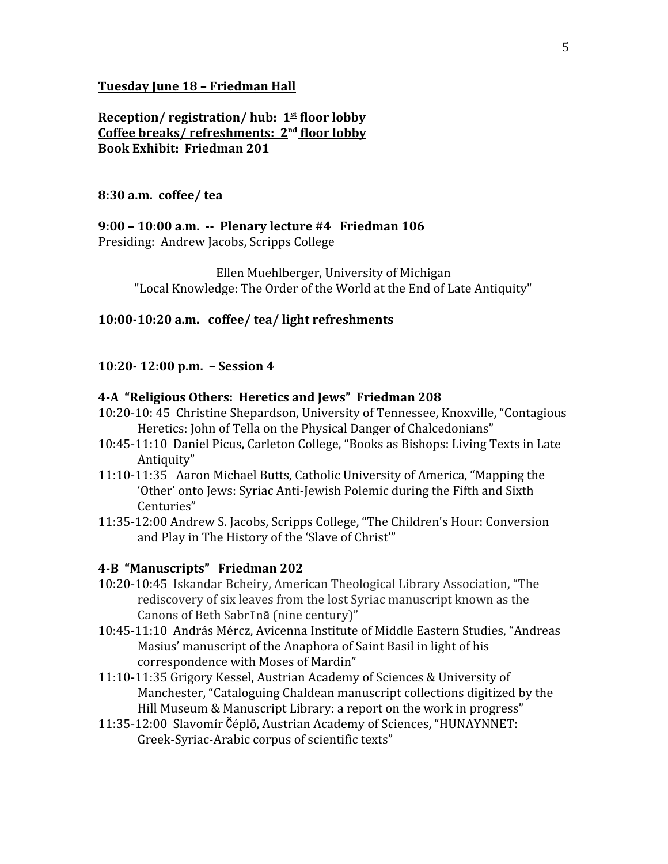#### **Tuesday June 18 – Friedman Hall**

# **Reception/ registration/ hub: 1st floor lobby Coffee breaks/ refreshments: 2nd floor lobby Book Exhibit: Friedman 201**

### **8:30 a.m. coffee/ tea**

**9:00 – 10:00 a.m. -- Plenary lecture #4 Friedman 106**

Presiding: Andrew Jacobs, Scripps College

Ellen Muehlberger, University of Michigan "Local Knowledge: The Order of the World at the End of Late Antiquity"

### **10:00-10:20 a.m. coffee/ tea/ light refreshments**

#### **10:20- 12:00 p.m. – Session 4**

# **4-A "Religious Others: Heretics and Jews" Friedman 208**

- 10:20-10: 45 Christine Shepardson, University of Tennessee, Knoxville, "Contagious Heretics: John of Tella on the Physical Danger of Chalcedonians"
- 10:45-11:10 Daniel Picus, Carleton College, "Books as Bishops: Living Texts in Late Antiquity"
- 11:10-11:35 Aaron Michael Butts, Catholic University of America, "Mapping the 'Other' onto Jews: Syriac Anti-Jewish Polemic during the Fifth and Sixth Centuries"
- 11:35-12:00 Andrew S. Jacobs, Scripps College, "The Children's Hour: Conversion and Play in The History of the 'Slave of Christ'"

#### **4-B "Manuscripts" Friedman 202**

- 10:20-10:45 Iskandar Bcheiry, American Theological Library Association, "The rediscovery of six leaves from the lost Syriac manuscript known as the Canons of Beth Sabrīnā (nine century)"
- 10:45-11:10 András Mércz, Avicenna Institute of Middle Eastern Studies, "Andreas Masius' manuscript of the Anaphora of Saint Basil in light of his correspondence with Moses of Mardin"
- 11:10-11:35 Grigory Kessel, Austrian Academy of Sciences & University of Manchester, "Cataloguing Chaldean manuscript collections digitized by the Hill Museum & Manuscript Library: a report on the work in progress"
- 11:35-12:00 Slavomír Čéplö, Austrian Academy of Sciences, "HUNAYNNET: Greek-Syriac-Arabic corpus of scientific texts"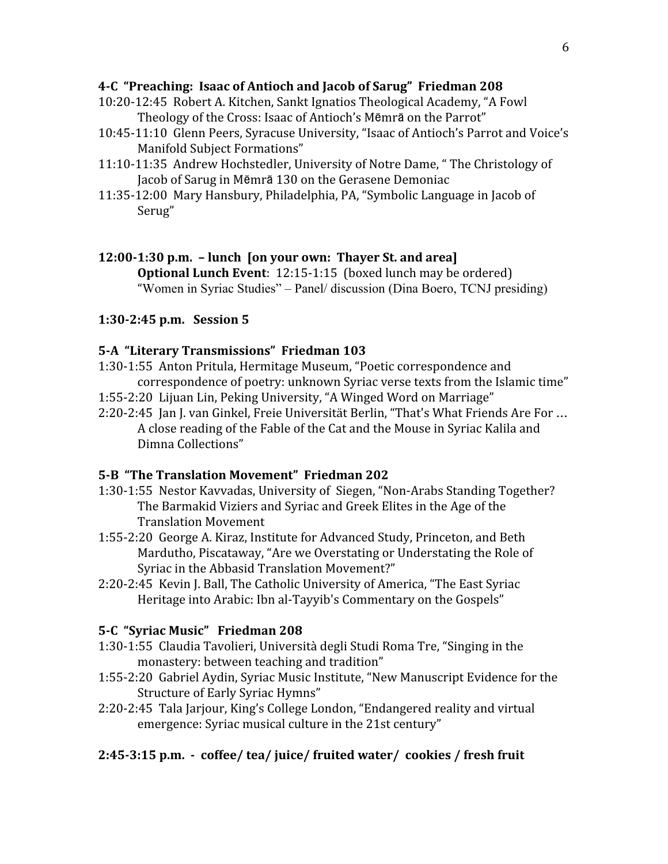### **4-C "Preaching: Isaac of Antioch and Jacob of Sarug" Friedman 208**

- 10:20-12:45 Robert A. Kitchen, Sankt Ignatios Theological Academy, "A Fowl Theology of the Cross: Isaac of Antioch's Mēmrā on the Parrot"
- 10:45-11:10 Glenn Peers, Syracuse University, "Isaac of Antioch's Parrot and Voice's Manifold Subject Formations"
- 11:10-11:35 Andrew Hochstedler, University of Notre Dame, " The Christology of Jacob of Sarug in Mēmrā 130 on the Gerasene Demoniac
- 11:35-12:00 Mary Hansbury, Philadelphia, PA, "Symbolic Language in Jacob of Serug"
- **12:00-1:30 p.m. lunch [on your own: Thayer St. and area] Optional Lunch Event**: 12:15-1:15 (boxed lunch may be ordered) "Women in Syriac Studies" – Panel/ discussion (Dina Boero, TCNJ presiding)

# **1:30-2:45 p.m. Session 5**

# **5-A "Literary Transmissions" Friedman 103**

- 1:30-1:55 Anton Pritula, Hermitage Museum, "Poetic correspondence and correspondence of poetry: unknown Syriac verse texts from the Islamic time"
- 1:55-2:20 Lijuan Lin, Peking University, "A Winged Word on Marriage"
- 2:20-2:45 Jan J. van Ginkel, Freie Universität Berlin, "That's What Friends Are For … A close reading of the Fable of the Cat and the Mouse in Syriac Kalila and Dimna Collections"

### **5-B "The Translation Movement" Friedman 202**

- 1:30-1:55 Nestor Kavvadas, University of Siegen, "Non-Arabs Standing Together? The Barmakid Viziers and Syriac and Greek Elites in the Age of the Translation Movement
- 1:55-2:20 George A. Kiraz, Institute for Advanced Study, Princeton, and Beth Mardutho, Piscataway, "Are we Overstating or Understating the Role of Syriac in the Abbasid Translation Movement?"
- 2:20-2:45 Kevin J. Ball, The Catholic University of America, "The East Syriac Heritage into Arabic: Ibn al-Tayyib's Commentary on the Gospels"

### **5-C "Syriac Music" Friedman 208**

- 1:30-1:55 Claudia Tavolieri, Università degli Studi Roma Tre, "Singing in the monastery: between teaching and tradition"
- 1:55-2:20 Gabriel Aydin, Syriac Music Institute, "New Manuscript Evidence for the Structure of Early Syriac Hymns"
- 2:20-2:45 Tala Jarjour, King's College London, "Endangered reality and virtual emergence: Syriac musical culture in the 21st century"

# **2:45-3:15 p.m. - coffee/ tea/ juice/ fruited water/ cookies / fresh fruit**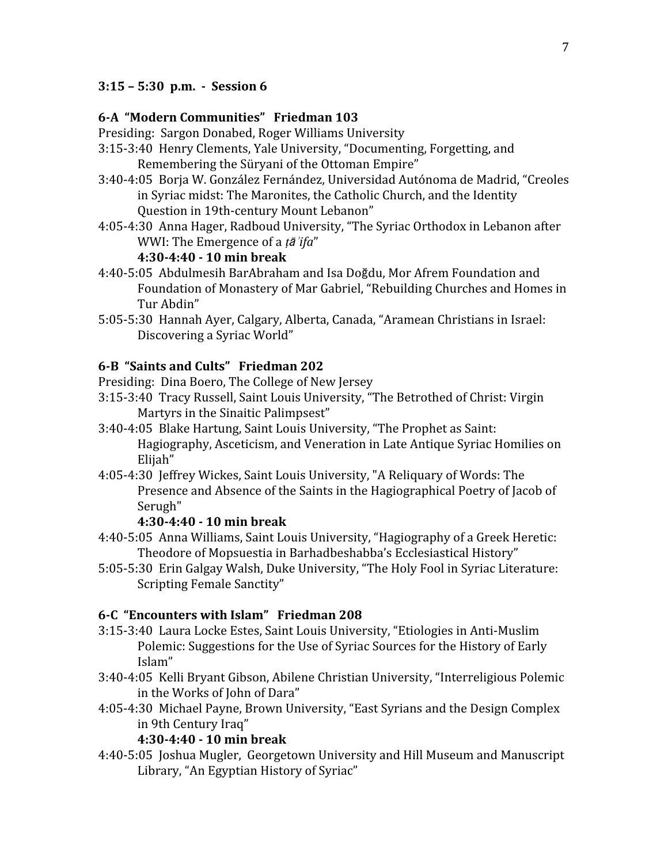### **3:15 – 5:30 p.m. - Session 6**

### **6-A "Modern Communities" Friedman 103**

Presiding: Sargon Donabed, Roger Williams University

- 3:15-3:40 Henry Clements, Yale University, "Documenting, Forgetting, and Remembering the Süryani of the Ottoman Empire"
- 3:40-4:05 Borja W. González Fernández, Universidad Autónoma de Madrid, "Creoles in Syriac midst: The Maronites, the Catholic Church, and the Identity Question in 19th-century Mount Lebanon"
- 4:05-4:30 Anna Hager, Radboud University, "The Syriac Orthodox in Lebanon after WWI: The Emergence of a *ta*<sup>'</sup>*ifa*"

#### **4:30-4:40 - 10 min break**

- 4:40-5:05 Abdulmesih BarAbraham and Isa Doğdu, Mor Afrem Foundation and Foundation of Monastery of Mar Gabriel, "Rebuilding Churches and Homes in Tur Abdin"
- 5:05-5:30 Hannah Ayer, Calgary, Alberta, Canada, "Aramean Christians in Israel: Discovering a Syriac World"

### **6-B "Saints and Cults" Friedman 202**

Presiding: Dina Boero, The College of New Jersey

- 3:15-3:40 Tracy Russell, Saint Louis University, "The Betrothed of Christ: Virgin Martyrs in the Sinaitic Palimpsest"
- 3:40-4:05 Blake Hartung, Saint Louis University, "The Prophet as Saint: Hagiography, Asceticism, and Veneration in Late Antique Syriac Homilies on Elijah"
- 4:05-4:30 Jeffrey Wickes, Saint Louis University, "A Reliquary of Words: The Presence and Absence of the Saints in the Hagiographical Poetry of Jacob of Serugh"

# **4:30-4:40 - 10 min break**

- 4:40-5:05 Anna Williams, Saint Louis University, "Hagiography of a Greek Heretic: Theodore of Mopsuestia in Barhadbeshabba's Ecclesiastical History"
- 5:05-5:30 Erin Galgay Walsh, Duke University, "The Holy Fool in Syriac Literature: Scripting Female Sanctity"

# **6-C "Encounters with Islam" Friedman 208**

- 3:15-3:40 Laura Locke Estes, Saint Louis University, "Etiologies in Anti-Muslim Polemic: Suggestions for the Use of Syriac Sources for the History of Early Islam"
- 3:40-4:05 Kelli Bryant Gibson, Abilene Christian University, "Interreligious Polemic in the Works of John of Dara"
- 4:05-4:30 Michael Payne, Brown University, "East Syrians and the Design Complex in 9th Century Iraq"

### **4:30-4:40 - 10 min break**

4:40-5:05 Joshua Mugler, Georgetown University and Hill Museum and Manuscript Library, "An Egyptian History of Syriac"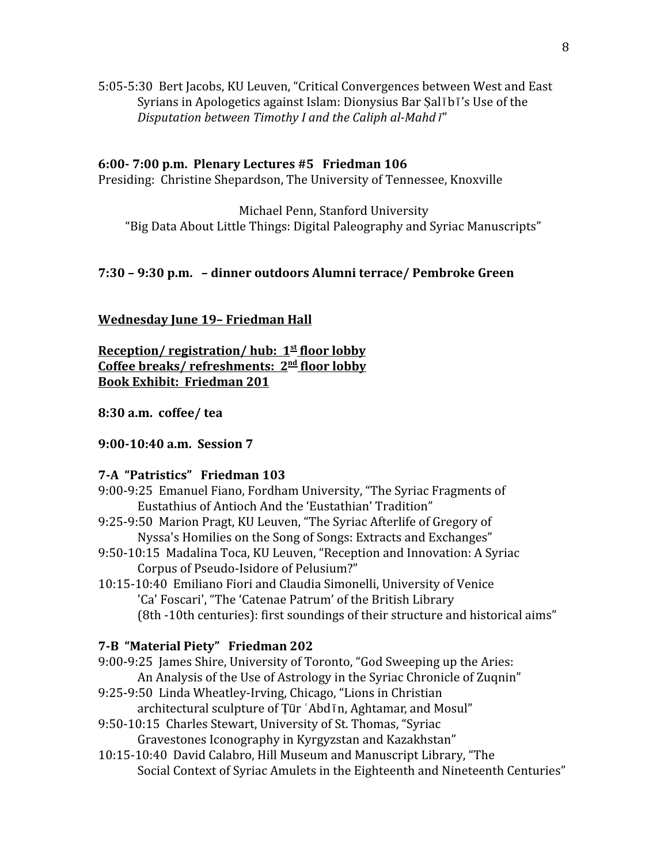5:05-5:30 Bert Jacobs, KU Leuven, "Critical Convergences between West and East Syrians in Apologetics against Islam: Dionysius Bar Ṣalībī's Use of the *Disputation between Timothy I and the Caliph al-Mahd*ī"

### **6:00- 7:00 p.m. Plenary Lectures #5 Friedman 106**

Presiding: Christine Shepardson, The University of Tennessee, Knoxville

Michael Penn, Stanford University "Big Data About Little Things: Digital Paleography and Syriac Manuscripts"

# **7:30 – 9:30 p.m. – dinner outdoors Alumni terrace/ Pembroke Green**

### **Wednesday June 19– Friedman Hall**

**Reception/ registration/ hub: 1st floor lobby Coffee breaks/ refreshments: 2nd floor lobby Book Exhibit: Friedman 201**

### **8:30 a.m. coffee/ tea**

### **9:00-10:40 a.m. Session 7**

### **7-A "Patristics" Friedman 103**

- 9:00-9:25 Emanuel Fiano, Fordham University, "The Syriac Fragments of Eustathius of Antioch And the 'Eustathian' Tradition"
- 9:25-9:50 Marion Pragt, KU Leuven, "The Syriac Afterlife of Gregory of Nyssa's Homilies on the Song of Songs: Extracts and Exchanges"
- 9:50-10:15 Madalina Toca, KU Leuven, "Reception and Innovation: A Syriac Corpus of Pseudo-Isidore of Pelusium?"
- 10:15-10:40 Emiliano Fiori and Claudia Simonelli, University of Venice 'Ca' Foscari', "The 'Catenae Patrum' of the British Library (8th -10th centuries): first soundings of their structure and historical aims"

### **7-B "Material Piety" Friedman 202**

- 9:00-9:25 James Shire, University of Toronto, "God Sweeping up the Aries:
	- An Analysis of the Use of Astrology in the Syriac Chronicle of Zuqnin"
- 9:25-9:50 Linda Wheatley-Irving, Chicago, "Lions in Christian architectural sculpture of Ṭūr ʿAbdīn, Aghtamar, and Mosul"
- 9:50-10:15 Charles Stewart, University of St. Thomas, "Syriac Gravestones Iconography in Kyrgyzstan and Kazakhstan"
- 10:15-10:40 David Calabro, Hill Museum and Manuscript Library, "The Social Context of Syriac Amulets in the Eighteenth and Nineteenth Centuries"